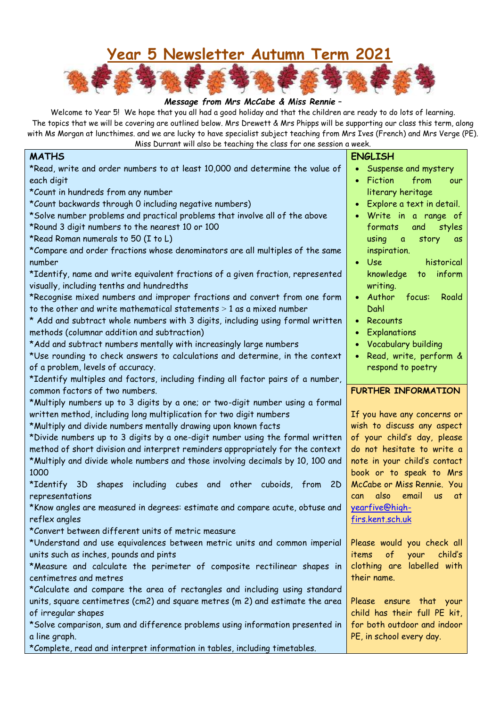## **Year 5 Newsletter Autumn Term 2021**



## *Message from Mrs McCabe & Miss Rennie –*

Welcome to Year 5! We hope that you all had a good holiday and that the children are ready to do lots of learning. The topics that we will be covering are outlined below. Mrs Drewett & Mrs Phipps will be supporting our class this term, along with Ms Morgan at luncthimes. and we are lucky to have specialist subject teaching from Mrs Ives (French) and Mrs Verge (PE).

| Miss Durrant will also be teaching the class for one session a week.                   |                                                         |  |  |  |  |  |
|----------------------------------------------------------------------------------------|---------------------------------------------------------|--|--|--|--|--|
| <b>MATHS</b>                                                                           | <b>ENGLISH</b>                                          |  |  |  |  |  |
| *Read, write and order numbers to at least 10,000 and determine the value of           | • Suspense and mystery                                  |  |  |  |  |  |
| each digit                                                                             | <b>Fiction</b><br>from<br>our                           |  |  |  |  |  |
| *Count in hundreds from any number                                                     | literary heritage                                       |  |  |  |  |  |
| *Count backwards through 0 including negative numbers)                                 | Explore a text in detail.                               |  |  |  |  |  |
| *Solve number problems and practical problems that involve all of the above            | Write in a range of                                     |  |  |  |  |  |
| *Round 3 digit numbers to the nearest 10 or 100                                        | formats<br>and<br>styles                                |  |  |  |  |  |
| *Read Roman numerals to 50 (I to L)                                                    | using<br>story<br>$\mathfrak{a}$<br>as                  |  |  |  |  |  |
| *Compare and order fractions whose denominators are all multiples of the same          | inspiration.                                            |  |  |  |  |  |
| number                                                                                 | <b>Use</b><br>historical<br>$\bullet$                   |  |  |  |  |  |
| *Identify, name and write equivalent fractions of a given fraction, represented        | to inform<br>knowledge                                  |  |  |  |  |  |
| visually, including tenths and hundredths                                              | writing.                                                |  |  |  |  |  |
| *Recognise mixed numbers and improper fractions and convert from one form              | Author<br>focus:<br>Roald                               |  |  |  |  |  |
| to the other and write mathematical statements $> 1$ as a mixed number                 | Dahl                                                    |  |  |  |  |  |
| * Add and subtract whole numbers with 3 digits, including using formal written         | Recounts                                                |  |  |  |  |  |
| methods (columnar addition and subtraction)                                            | Explanations                                            |  |  |  |  |  |
| *Add and subtract numbers mentally with increasingly large numbers                     | <b>Vocabulary building</b>                              |  |  |  |  |  |
| *Use rounding to check answers to calculations and determine, in the context           | Read, write, perform &                                  |  |  |  |  |  |
| of a problem, levels of accuracy.                                                      | respond to poetry                                       |  |  |  |  |  |
| *Identify multiples and factors, including finding all factor pairs of a number,       |                                                         |  |  |  |  |  |
| common factors of two numbers.                                                         | <b>FURTHER INFORMATION</b>                              |  |  |  |  |  |
| *Multiply numbers up to 3 digits by a one; or two-digit number using a formal          |                                                         |  |  |  |  |  |
| written method, including long multiplication for two digit numbers                    | If you have any concerns or                             |  |  |  |  |  |
| *Multiply and divide numbers mentally drawing upon known facts                         | wish to discuss any aspect                              |  |  |  |  |  |
| *Divide numbers up to 3 digits by a one-digit number using the formal written          | of your child's day, please                             |  |  |  |  |  |
| method of short division and interpret reminders appropriately for the context         | do not hesitate to write a                              |  |  |  |  |  |
| *Multiply and divide whole numbers and those involving decimals by 10, 100 and<br>1000 | note in your child's contact<br>book or to speak to Mrs |  |  |  |  |  |
| *Identify 3D shapes including cubes and other cuboids, from 2D                         | McCabe or Miss Rennie. You                              |  |  |  |  |  |
| representations                                                                        | also<br>email<br><b>us</b><br>can<br>at a               |  |  |  |  |  |
| *Know angles are measured in degrees: estimate and compare acute, obtuse and           | yearfive@high-                                          |  |  |  |  |  |
| reflex angles                                                                          | firs.kent.sch.uk                                        |  |  |  |  |  |
| *Convert between different units of metric measure                                     |                                                         |  |  |  |  |  |
| *Understand and use equivalences between metric units and common imperial              | Please would you check all                              |  |  |  |  |  |
| units such as inches, pounds and pints                                                 | items<br>$\circ$ f<br>your child's                      |  |  |  |  |  |
| *Measure and calculate the perimeter of composite rectilinear shapes in                | clothing are labelled with                              |  |  |  |  |  |
| centimetres and metres                                                                 | their name.                                             |  |  |  |  |  |
| *Calculate and compare the area of rectangles and including using standard             |                                                         |  |  |  |  |  |
| units, square centimetres (cm2) and square metres (m 2) and estimate the area          | Please ensure that your                                 |  |  |  |  |  |
| of irregular shapes                                                                    | child has their full PE kit,                            |  |  |  |  |  |
| *Solve comparison, sum and difference problems using information presented in          | for both outdoor and indoor                             |  |  |  |  |  |
| a line graph.                                                                          | PE, in school every day.                                |  |  |  |  |  |
| *Complete, read and interpret information in tables, including timetables.             |                                                         |  |  |  |  |  |
|                                                                                        |                                                         |  |  |  |  |  |